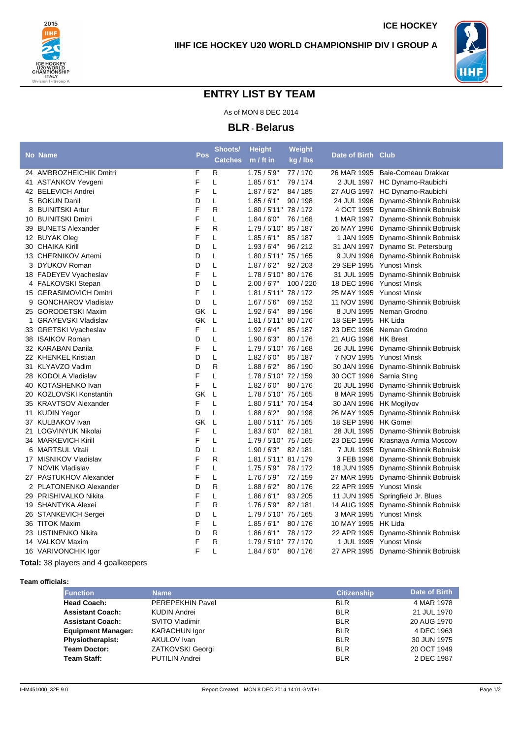



**ICE HOCKEY**

## **ENTRY LIST BY TEAM**

As of MON 8 DEC 2014

**BLR - Belarus**

| F<br>R<br>24 AMBROZHEICHIK Dmitri<br>1.75/5'9"<br>77 / 170<br>26 MAR 1995 Baie-Comeau Drakkar<br>F<br>41 ASTANKOV Yevgeni<br>L<br>1.85/6'1"<br>79/174<br>2 JUL 1997 HC Dynamo-Raubichi<br>F<br>L<br>27 AUG 1997 HC Dynamo-Raubichi<br>42 BELEVICH Andrei<br>1.87/6'2"<br>84 / 185<br>D<br>5 BOKUN Danil<br>L<br>1.85/6'1"<br>90/198<br>24 JUL 1996 Dynamo-Shinnik Bobruisk<br>F<br>R<br><b>BUINITSKI Artur</b><br>1.80 / 5'11" 78 / 172<br>4 OCT 1995 Dynamo-Shinnik Bobruisk<br>8<br>F<br>L<br>10 BUINITSKI Dmitri<br>1.84/6'0''<br>76 / 168<br>1 MAR 1997 Dynamo-Shinnik Bobruisk<br>F<br>R<br>39 BUNETS Alexander<br>1.79 / 5'10" 85 / 187<br>26 MAY 1996 Dynamo-Shinnik Bobruisk<br>F<br>12 BUYAK Oleg<br>L<br>1.85/6'1''<br>85 / 187<br>1 JAN 1995 Dynamo-Shinnik Bobruisk<br>D<br>30 CHAIKA Kirill<br>L<br>1.93/6'4"<br>96/212<br>31 JAN 1997 Dynamo St. Petersburg<br>D<br>13 CHERNIKOV Artemi<br>L<br>1.80 / 5'11" 75 / 165<br>9 JUN 1996 Dynamo-Shinnik Bobruisk<br>D<br>Г<br>1.87/6'2"<br>29 SEP 1995 Yunost Minsk<br>3 DYUKOV Roman<br>92/203<br>F<br>18 FADEYEV Vyacheslav<br>L<br>1.78 / 5'10" 80 / 176<br>31 JUL 1995 Dynamo-Shinnik Bobruisk<br>D<br>4 FALKOVSKI Stepan<br>L<br>2.00 / 67"<br>100 / 220<br>18 DEC 1996 Yunost Minsk<br>F<br>L<br>1.81 / 5'11" 78 / 172<br>25 MAY 1995 Yunost Minsk<br>15 GERASIMOVICH Dmitri<br>D<br>L<br>9 GONCHAROV Vladislav<br>1.67 / 5'6''<br>69/152<br>11 NOV 1996 Dynamo-Shinnik Bobruisk<br>GK<br>L<br>8 JUN 1995 Neman Grodno<br>25 GORODETSKI Maxim<br>1.92/6'4"<br>89/196<br>GK<br>L<br>1.81 / 5'11" 80 / 176<br>18 SEP 1995 HK Lida<br>1 GRAYEVSKI Vladislav<br>F<br>L<br>33 GRETSKI Vyacheslav<br>1.92/6'4"<br>85 / 187<br>23 DEC 1996 Neman Grodno<br>D<br>38 ISAIKOV Roman<br>L<br>80/176<br>21 AUG 1996 HK Brest<br>1.90/6'3''<br>F<br>32 KARABAN Danila<br>1.79 / 5'10" 76 / 168<br>26 JUL 1996 Dynamo-Shinnik Bobruisk<br>L<br>D<br>22 KHENKEL Kristian<br>L<br>1.82/6'0''<br>85 / 187<br>7 NOV 1995 Yunost Minsk<br>D<br>R<br>31 KLYAVZO Vadim<br>1.88/6'2"<br>86 / 190<br>30 JAN 1996 Dynamo-Shinnik Bobruisk<br>F<br>28 KODOLA Vladislav<br>L<br>1.78 / 5'10" 72 / 159<br>30 OCT 1996 Sarnia Sting<br>F<br>L<br>80/176<br>20 JUL 1996 Dynamo-Shinnik Bobruisk<br>40 KOTASHENKO Ivan<br>1.82/6'0''<br><b>GK</b><br>L<br>20 KOZLOVSKI Konstantin<br>1.78 / 5'10" 75 / 165<br>8 MAR 1995 Dynamo-Shinnik Bobruisk<br>F<br>35 KRAVTSOV Alexander<br>L<br>1.80 / 5'11" 70 / 154<br>30 JAN 1996 HK Mogilyov<br>D<br>11 KUDIN Yegor<br>L<br>26 MAY 1995 Dynamo-Shinnik Bobruisk<br>1.88/6'2"<br>90/198<br>GK<br>L<br>18 SEP 1996 HK Gomel<br>37 KULBAKOV Ivan<br>1.80 / 5'11" 75 / 165<br>F<br>21 LOGVINYUK Nikolai<br>L<br>1.83/6'0''<br>82/181<br>28 JUL 1995 Dynamo-Shinnik Bobruisk<br>F<br>L<br>1.79 / 5'10" 75 / 165<br>34 MARKEVICH Kirill<br>23 DEC 1996 Krasnaya Armia Moscow<br>L<br>D<br>1.90/6'3''<br>6 MARTSUL Vitali<br>82/181<br>7 JUL 1995 Dynamo-Shinnik Bobruisk<br>F<br>17 MISNIKOV Vladislav<br>R<br>1.81 / 5'11" 81 / 179<br>3 FEB 1996 Dynamo-Shinnik Bobruisk<br>F<br>7 NOVIK Vladislav<br>L<br>1.75/5'9"<br>78/172<br>18 JUN 1995 Dynamo-Shinnik Bobruisk<br>F<br>L<br>27 PASTUKHOV Alexander<br>1.76 / 5'9''<br>72 / 159<br>27 MAR 1995 Dynamo-Shinnik Bobruisk<br>D<br>R<br>2 PLATONENKO Alexander<br>1.88/6'2"<br>80/176<br>22 APR 1995 Yunost Minsk<br>F<br>L<br>93 / 205<br>29 PRISHIVALKO Nikita<br>1.86/6'1"<br>11 JUN 1995 Springfield Jr. Blues<br>F<br>R<br>19 SHANTYKA Alexei<br>1.76/5'9"<br>82/181<br>14 AUG 1995 Dynamo-Shinnik Bobruisk<br>D<br>26 STANKEVICH Sergei<br>L<br>1.79 / 5'10" 75 / 165<br>3 MAR 1995 Yunost Minsk<br>F<br>L<br>36 TITOK Maxim<br>1.85/6'1"<br>80/176<br>10 MAY 1995 HK Lida<br>D<br>R<br>23 USTINENKO Nikita<br>1.86/6'1"<br>78/172<br>22 APR 1995 Dynamo-Shinnik Bobruisk<br>F<br>14 VALKOV Maxim<br>R<br>1.79 / 5'10" 77 / 170<br>1 JUL 1995 Yunost Minsk<br>F<br>1.84/6'0''<br>16 VARIVONCHIK Igor<br>L<br>80 / 176<br>27 APR 1995 Dynamo-Shinnik Bobruisk | <b>No Name</b> | Pos | Shoots/<br><b>Catches</b> | <b>Height</b><br>$m / ft$ in | Weight<br>kg / lbs | Date of Birth Club |  |
|----------------------------------------------------------------------------------------------------------------------------------------------------------------------------------------------------------------------------------------------------------------------------------------------------------------------------------------------------------------------------------------------------------------------------------------------------------------------------------------------------------------------------------------------------------------------------------------------------------------------------------------------------------------------------------------------------------------------------------------------------------------------------------------------------------------------------------------------------------------------------------------------------------------------------------------------------------------------------------------------------------------------------------------------------------------------------------------------------------------------------------------------------------------------------------------------------------------------------------------------------------------------------------------------------------------------------------------------------------------------------------------------------------------------------------------------------------------------------------------------------------------------------------------------------------------------------------------------------------------------------------------------------------------------------------------------------------------------------------------------------------------------------------------------------------------------------------------------------------------------------------------------------------------------------------------------------------------------------------------------------------------------------------------------------------------------------------------------------------------------------------------------------------------------------------------------------------------------------------------------------------------------------------------------------------------------------------------------------------------------------------------------------------------------------------------------------------------------------------------------------------------------------------------------------------------------------------------------------------------------------------------------------------------------------------------------------------------------------------------------------------------------------------------------------------------------------------------------------------------------------------------------------------------------------------------------------------------------------------------------------------------------------------------------------------------------------------------------------------------------------------------------------------------------------------------------------------------------------------------------------------------------------------------------------------------------------------------------------------------------------------------------------------------------------------------------------------------------------------------------------------------------------------------------------------------------------------------------------------------------------------------------------------------------------------------------------------------------------------------------------------------------------------------------------------------------------------------------------------------------------------------------------------------------------------------------------------------------------------------------|----------------|-----|---------------------------|------------------------------|--------------------|--------------------|--|
|                                                                                                                                                                                                                                                                                                                                                                                                                                                                                                                                                                                                                                                                                                                                                                                                                                                                                                                                                                                                                                                                                                                                                                                                                                                                                                                                                                                                                                                                                                                                                                                                                                                                                                                                                                                                                                                                                                                                                                                                                                                                                                                                                                                                                                                                                                                                                                                                                                                                                                                                                                                                                                                                                                                                                                                                                                                                                                                                                                                                                                                                                                                                                                                                                                                                                                                                                                                                                                                                                                                                                                                                                                                                                                                                                                                                                                                                                                                                                                                              |                |     |                           |                              |                    |                    |  |
|                                                                                                                                                                                                                                                                                                                                                                                                                                                                                                                                                                                                                                                                                                                                                                                                                                                                                                                                                                                                                                                                                                                                                                                                                                                                                                                                                                                                                                                                                                                                                                                                                                                                                                                                                                                                                                                                                                                                                                                                                                                                                                                                                                                                                                                                                                                                                                                                                                                                                                                                                                                                                                                                                                                                                                                                                                                                                                                                                                                                                                                                                                                                                                                                                                                                                                                                                                                                                                                                                                                                                                                                                                                                                                                                                                                                                                                                                                                                                                                              |                |     |                           |                              |                    |                    |  |
|                                                                                                                                                                                                                                                                                                                                                                                                                                                                                                                                                                                                                                                                                                                                                                                                                                                                                                                                                                                                                                                                                                                                                                                                                                                                                                                                                                                                                                                                                                                                                                                                                                                                                                                                                                                                                                                                                                                                                                                                                                                                                                                                                                                                                                                                                                                                                                                                                                                                                                                                                                                                                                                                                                                                                                                                                                                                                                                                                                                                                                                                                                                                                                                                                                                                                                                                                                                                                                                                                                                                                                                                                                                                                                                                                                                                                                                                                                                                                                                              |                |     |                           |                              |                    |                    |  |
|                                                                                                                                                                                                                                                                                                                                                                                                                                                                                                                                                                                                                                                                                                                                                                                                                                                                                                                                                                                                                                                                                                                                                                                                                                                                                                                                                                                                                                                                                                                                                                                                                                                                                                                                                                                                                                                                                                                                                                                                                                                                                                                                                                                                                                                                                                                                                                                                                                                                                                                                                                                                                                                                                                                                                                                                                                                                                                                                                                                                                                                                                                                                                                                                                                                                                                                                                                                                                                                                                                                                                                                                                                                                                                                                                                                                                                                                                                                                                                                              |                |     |                           |                              |                    |                    |  |
|                                                                                                                                                                                                                                                                                                                                                                                                                                                                                                                                                                                                                                                                                                                                                                                                                                                                                                                                                                                                                                                                                                                                                                                                                                                                                                                                                                                                                                                                                                                                                                                                                                                                                                                                                                                                                                                                                                                                                                                                                                                                                                                                                                                                                                                                                                                                                                                                                                                                                                                                                                                                                                                                                                                                                                                                                                                                                                                                                                                                                                                                                                                                                                                                                                                                                                                                                                                                                                                                                                                                                                                                                                                                                                                                                                                                                                                                                                                                                                                              |                |     |                           |                              |                    |                    |  |
|                                                                                                                                                                                                                                                                                                                                                                                                                                                                                                                                                                                                                                                                                                                                                                                                                                                                                                                                                                                                                                                                                                                                                                                                                                                                                                                                                                                                                                                                                                                                                                                                                                                                                                                                                                                                                                                                                                                                                                                                                                                                                                                                                                                                                                                                                                                                                                                                                                                                                                                                                                                                                                                                                                                                                                                                                                                                                                                                                                                                                                                                                                                                                                                                                                                                                                                                                                                                                                                                                                                                                                                                                                                                                                                                                                                                                                                                                                                                                                                              |                |     |                           |                              |                    |                    |  |
|                                                                                                                                                                                                                                                                                                                                                                                                                                                                                                                                                                                                                                                                                                                                                                                                                                                                                                                                                                                                                                                                                                                                                                                                                                                                                                                                                                                                                                                                                                                                                                                                                                                                                                                                                                                                                                                                                                                                                                                                                                                                                                                                                                                                                                                                                                                                                                                                                                                                                                                                                                                                                                                                                                                                                                                                                                                                                                                                                                                                                                                                                                                                                                                                                                                                                                                                                                                                                                                                                                                                                                                                                                                                                                                                                                                                                                                                                                                                                                                              |                |     |                           |                              |                    |                    |  |
|                                                                                                                                                                                                                                                                                                                                                                                                                                                                                                                                                                                                                                                                                                                                                                                                                                                                                                                                                                                                                                                                                                                                                                                                                                                                                                                                                                                                                                                                                                                                                                                                                                                                                                                                                                                                                                                                                                                                                                                                                                                                                                                                                                                                                                                                                                                                                                                                                                                                                                                                                                                                                                                                                                                                                                                                                                                                                                                                                                                                                                                                                                                                                                                                                                                                                                                                                                                                                                                                                                                                                                                                                                                                                                                                                                                                                                                                                                                                                                                              |                |     |                           |                              |                    |                    |  |
|                                                                                                                                                                                                                                                                                                                                                                                                                                                                                                                                                                                                                                                                                                                                                                                                                                                                                                                                                                                                                                                                                                                                                                                                                                                                                                                                                                                                                                                                                                                                                                                                                                                                                                                                                                                                                                                                                                                                                                                                                                                                                                                                                                                                                                                                                                                                                                                                                                                                                                                                                                                                                                                                                                                                                                                                                                                                                                                                                                                                                                                                                                                                                                                                                                                                                                                                                                                                                                                                                                                                                                                                                                                                                                                                                                                                                                                                                                                                                                                              |                |     |                           |                              |                    |                    |  |
|                                                                                                                                                                                                                                                                                                                                                                                                                                                                                                                                                                                                                                                                                                                                                                                                                                                                                                                                                                                                                                                                                                                                                                                                                                                                                                                                                                                                                                                                                                                                                                                                                                                                                                                                                                                                                                                                                                                                                                                                                                                                                                                                                                                                                                                                                                                                                                                                                                                                                                                                                                                                                                                                                                                                                                                                                                                                                                                                                                                                                                                                                                                                                                                                                                                                                                                                                                                                                                                                                                                                                                                                                                                                                                                                                                                                                                                                                                                                                                                              |                |     |                           |                              |                    |                    |  |
|                                                                                                                                                                                                                                                                                                                                                                                                                                                                                                                                                                                                                                                                                                                                                                                                                                                                                                                                                                                                                                                                                                                                                                                                                                                                                                                                                                                                                                                                                                                                                                                                                                                                                                                                                                                                                                                                                                                                                                                                                                                                                                                                                                                                                                                                                                                                                                                                                                                                                                                                                                                                                                                                                                                                                                                                                                                                                                                                                                                                                                                                                                                                                                                                                                                                                                                                                                                                                                                                                                                                                                                                                                                                                                                                                                                                                                                                                                                                                                                              |                |     |                           |                              |                    |                    |  |
|                                                                                                                                                                                                                                                                                                                                                                                                                                                                                                                                                                                                                                                                                                                                                                                                                                                                                                                                                                                                                                                                                                                                                                                                                                                                                                                                                                                                                                                                                                                                                                                                                                                                                                                                                                                                                                                                                                                                                                                                                                                                                                                                                                                                                                                                                                                                                                                                                                                                                                                                                                                                                                                                                                                                                                                                                                                                                                                                                                                                                                                                                                                                                                                                                                                                                                                                                                                                                                                                                                                                                                                                                                                                                                                                                                                                                                                                                                                                                                                              |                |     |                           |                              |                    |                    |  |
|                                                                                                                                                                                                                                                                                                                                                                                                                                                                                                                                                                                                                                                                                                                                                                                                                                                                                                                                                                                                                                                                                                                                                                                                                                                                                                                                                                                                                                                                                                                                                                                                                                                                                                                                                                                                                                                                                                                                                                                                                                                                                                                                                                                                                                                                                                                                                                                                                                                                                                                                                                                                                                                                                                                                                                                                                                                                                                                                                                                                                                                                                                                                                                                                                                                                                                                                                                                                                                                                                                                                                                                                                                                                                                                                                                                                                                                                                                                                                                                              |                |     |                           |                              |                    |                    |  |
|                                                                                                                                                                                                                                                                                                                                                                                                                                                                                                                                                                                                                                                                                                                                                                                                                                                                                                                                                                                                                                                                                                                                                                                                                                                                                                                                                                                                                                                                                                                                                                                                                                                                                                                                                                                                                                                                                                                                                                                                                                                                                                                                                                                                                                                                                                                                                                                                                                                                                                                                                                                                                                                                                                                                                                                                                                                                                                                                                                                                                                                                                                                                                                                                                                                                                                                                                                                                                                                                                                                                                                                                                                                                                                                                                                                                                                                                                                                                                                                              |                |     |                           |                              |                    |                    |  |
|                                                                                                                                                                                                                                                                                                                                                                                                                                                                                                                                                                                                                                                                                                                                                                                                                                                                                                                                                                                                                                                                                                                                                                                                                                                                                                                                                                                                                                                                                                                                                                                                                                                                                                                                                                                                                                                                                                                                                                                                                                                                                                                                                                                                                                                                                                                                                                                                                                                                                                                                                                                                                                                                                                                                                                                                                                                                                                                                                                                                                                                                                                                                                                                                                                                                                                                                                                                                                                                                                                                                                                                                                                                                                                                                                                                                                                                                                                                                                                                              |                |     |                           |                              |                    |                    |  |
|                                                                                                                                                                                                                                                                                                                                                                                                                                                                                                                                                                                                                                                                                                                                                                                                                                                                                                                                                                                                                                                                                                                                                                                                                                                                                                                                                                                                                                                                                                                                                                                                                                                                                                                                                                                                                                                                                                                                                                                                                                                                                                                                                                                                                                                                                                                                                                                                                                                                                                                                                                                                                                                                                                                                                                                                                                                                                                                                                                                                                                                                                                                                                                                                                                                                                                                                                                                                                                                                                                                                                                                                                                                                                                                                                                                                                                                                                                                                                                                              |                |     |                           |                              |                    |                    |  |
|                                                                                                                                                                                                                                                                                                                                                                                                                                                                                                                                                                                                                                                                                                                                                                                                                                                                                                                                                                                                                                                                                                                                                                                                                                                                                                                                                                                                                                                                                                                                                                                                                                                                                                                                                                                                                                                                                                                                                                                                                                                                                                                                                                                                                                                                                                                                                                                                                                                                                                                                                                                                                                                                                                                                                                                                                                                                                                                                                                                                                                                                                                                                                                                                                                                                                                                                                                                                                                                                                                                                                                                                                                                                                                                                                                                                                                                                                                                                                                                              |                |     |                           |                              |                    |                    |  |
|                                                                                                                                                                                                                                                                                                                                                                                                                                                                                                                                                                                                                                                                                                                                                                                                                                                                                                                                                                                                                                                                                                                                                                                                                                                                                                                                                                                                                                                                                                                                                                                                                                                                                                                                                                                                                                                                                                                                                                                                                                                                                                                                                                                                                                                                                                                                                                                                                                                                                                                                                                                                                                                                                                                                                                                                                                                                                                                                                                                                                                                                                                                                                                                                                                                                                                                                                                                                                                                                                                                                                                                                                                                                                                                                                                                                                                                                                                                                                                                              |                |     |                           |                              |                    |                    |  |
|                                                                                                                                                                                                                                                                                                                                                                                                                                                                                                                                                                                                                                                                                                                                                                                                                                                                                                                                                                                                                                                                                                                                                                                                                                                                                                                                                                                                                                                                                                                                                                                                                                                                                                                                                                                                                                                                                                                                                                                                                                                                                                                                                                                                                                                                                                                                                                                                                                                                                                                                                                                                                                                                                                                                                                                                                                                                                                                                                                                                                                                                                                                                                                                                                                                                                                                                                                                                                                                                                                                                                                                                                                                                                                                                                                                                                                                                                                                                                                                              |                |     |                           |                              |                    |                    |  |
|                                                                                                                                                                                                                                                                                                                                                                                                                                                                                                                                                                                                                                                                                                                                                                                                                                                                                                                                                                                                                                                                                                                                                                                                                                                                                                                                                                                                                                                                                                                                                                                                                                                                                                                                                                                                                                                                                                                                                                                                                                                                                                                                                                                                                                                                                                                                                                                                                                                                                                                                                                                                                                                                                                                                                                                                                                                                                                                                                                                                                                                                                                                                                                                                                                                                                                                                                                                                                                                                                                                                                                                                                                                                                                                                                                                                                                                                                                                                                                                              |                |     |                           |                              |                    |                    |  |
|                                                                                                                                                                                                                                                                                                                                                                                                                                                                                                                                                                                                                                                                                                                                                                                                                                                                                                                                                                                                                                                                                                                                                                                                                                                                                                                                                                                                                                                                                                                                                                                                                                                                                                                                                                                                                                                                                                                                                                                                                                                                                                                                                                                                                                                                                                                                                                                                                                                                                                                                                                                                                                                                                                                                                                                                                                                                                                                                                                                                                                                                                                                                                                                                                                                                                                                                                                                                                                                                                                                                                                                                                                                                                                                                                                                                                                                                                                                                                                                              |                |     |                           |                              |                    |                    |  |
|                                                                                                                                                                                                                                                                                                                                                                                                                                                                                                                                                                                                                                                                                                                                                                                                                                                                                                                                                                                                                                                                                                                                                                                                                                                                                                                                                                                                                                                                                                                                                                                                                                                                                                                                                                                                                                                                                                                                                                                                                                                                                                                                                                                                                                                                                                                                                                                                                                                                                                                                                                                                                                                                                                                                                                                                                                                                                                                                                                                                                                                                                                                                                                                                                                                                                                                                                                                                                                                                                                                                                                                                                                                                                                                                                                                                                                                                                                                                                                                              |                |     |                           |                              |                    |                    |  |
|                                                                                                                                                                                                                                                                                                                                                                                                                                                                                                                                                                                                                                                                                                                                                                                                                                                                                                                                                                                                                                                                                                                                                                                                                                                                                                                                                                                                                                                                                                                                                                                                                                                                                                                                                                                                                                                                                                                                                                                                                                                                                                                                                                                                                                                                                                                                                                                                                                                                                                                                                                                                                                                                                                                                                                                                                                                                                                                                                                                                                                                                                                                                                                                                                                                                                                                                                                                                                                                                                                                                                                                                                                                                                                                                                                                                                                                                                                                                                                                              |                |     |                           |                              |                    |                    |  |
|                                                                                                                                                                                                                                                                                                                                                                                                                                                                                                                                                                                                                                                                                                                                                                                                                                                                                                                                                                                                                                                                                                                                                                                                                                                                                                                                                                                                                                                                                                                                                                                                                                                                                                                                                                                                                                                                                                                                                                                                                                                                                                                                                                                                                                                                                                                                                                                                                                                                                                                                                                                                                                                                                                                                                                                                                                                                                                                                                                                                                                                                                                                                                                                                                                                                                                                                                                                                                                                                                                                                                                                                                                                                                                                                                                                                                                                                                                                                                                                              |                |     |                           |                              |                    |                    |  |
|                                                                                                                                                                                                                                                                                                                                                                                                                                                                                                                                                                                                                                                                                                                                                                                                                                                                                                                                                                                                                                                                                                                                                                                                                                                                                                                                                                                                                                                                                                                                                                                                                                                                                                                                                                                                                                                                                                                                                                                                                                                                                                                                                                                                                                                                                                                                                                                                                                                                                                                                                                                                                                                                                                                                                                                                                                                                                                                                                                                                                                                                                                                                                                                                                                                                                                                                                                                                                                                                                                                                                                                                                                                                                                                                                                                                                                                                                                                                                                                              |                |     |                           |                              |                    |                    |  |
|                                                                                                                                                                                                                                                                                                                                                                                                                                                                                                                                                                                                                                                                                                                                                                                                                                                                                                                                                                                                                                                                                                                                                                                                                                                                                                                                                                                                                                                                                                                                                                                                                                                                                                                                                                                                                                                                                                                                                                                                                                                                                                                                                                                                                                                                                                                                                                                                                                                                                                                                                                                                                                                                                                                                                                                                                                                                                                                                                                                                                                                                                                                                                                                                                                                                                                                                                                                                                                                                                                                                                                                                                                                                                                                                                                                                                                                                                                                                                                                              |                |     |                           |                              |                    |                    |  |
|                                                                                                                                                                                                                                                                                                                                                                                                                                                                                                                                                                                                                                                                                                                                                                                                                                                                                                                                                                                                                                                                                                                                                                                                                                                                                                                                                                                                                                                                                                                                                                                                                                                                                                                                                                                                                                                                                                                                                                                                                                                                                                                                                                                                                                                                                                                                                                                                                                                                                                                                                                                                                                                                                                                                                                                                                                                                                                                                                                                                                                                                                                                                                                                                                                                                                                                                                                                                                                                                                                                                                                                                                                                                                                                                                                                                                                                                                                                                                                                              |                |     |                           |                              |                    |                    |  |
|                                                                                                                                                                                                                                                                                                                                                                                                                                                                                                                                                                                                                                                                                                                                                                                                                                                                                                                                                                                                                                                                                                                                                                                                                                                                                                                                                                                                                                                                                                                                                                                                                                                                                                                                                                                                                                                                                                                                                                                                                                                                                                                                                                                                                                                                                                                                                                                                                                                                                                                                                                                                                                                                                                                                                                                                                                                                                                                                                                                                                                                                                                                                                                                                                                                                                                                                                                                                                                                                                                                                                                                                                                                                                                                                                                                                                                                                                                                                                                                              |                |     |                           |                              |                    |                    |  |
|                                                                                                                                                                                                                                                                                                                                                                                                                                                                                                                                                                                                                                                                                                                                                                                                                                                                                                                                                                                                                                                                                                                                                                                                                                                                                                                                                                                                                                                                                                                                                                                                                                                                                                                                                                                                                                                                                                                                                                                                                                                                                                                                                                                                                                                                                                                                                                                                                                                                                                                                                                                                                                                                                                                                                                                                                                                                                                                                                                                                                                                                                                                                                                                                                                                                                                                                                                                                                                                                                                                                                                                                                                                                                                                                                                                                                                                                                                                                                                                              |                |     |                           |                              |                    |                    |  |
|                                                                                                                                                                                                                                                                                                                                                                                                                                                                                                                                                                                                                                                                                                                                                                                                                                                                                                                                                                                                                                                                                                                                                                                                                                                                                                                                                                                                                                                                                                                                                                                                                                                                                                                                                                                                                                                                                                                                                                                                                                                                                                                                                                                                                                                                                                                                                                                                                                                                                                                                                                                                                                                                                                                                                                                                                                                                                                                                                                                                                                                                                                                                                                                                                                                                                                                                                                                                                                                                                                                                                                                                                                                                                                                                                                                                                                                                                                                                                                                              |                |     |                           |                              |                    |                    |  |
|                                                                                                                                                                                                                                                                                                                                                                                                                                                                                                                                                                                                                                                                                                                                                                                                                                                                                                                                                                                                                                                                                                                                                                                                                                                                                                                                                                                                                                                                                                                                                                                                                                                                                                                                                                                                                                                                                                                                                                                                                                                                                                                                                                                                                                                                                                                                                                                                                                                                                                                                                                                                                                                                                                                                                                                                                                                                                                                                                                                                                                                                                                                                                                                                                                                                                                                                                                                                                                                                                                                                                                                                                                                                                                                                                                                                                                                                                                                                                                                              |                |     |                           |                              |                    |                    |  |
|                                                                                                                                                                                                                                                                                                                                                                                                                                                                                                                                                                                                                                                                                                                                                                                                                                                                                                                                                                                                                                                                                                                                                                                                                                                                                                                                                                                                                                                                                                                                                                                                                                                                                                                                                                                                                                                                                                                                                                                                                                                                                                                                                                                                                                                                                                                                                                                                                                                                                                                                                                                                                                                                                                                                                                                                                                                                                                                                                                                                                                                                                                                                                                                                                                                                                                                                                                                                                                                                                                                                                                                                                                                                                                                                                                                                                                                                                                                                                                                              |                |     |                           |                              |                    |                    |  |
|                                                                                                                                                                                                                                                                                                                                                                                                                                                                                                                                                                                                                                                                                                                                                                                                                                                                                                                                                                                                                                                                                                                                                                                                                                                                                                                                                                                                                                                                                                                                                                                                                                                                                                                                                                                                                                                                                                                                                                                                                                                                                                                                                                                                                                                                                                                                                                                                                                                                                                                                                                                                                                                                                                                                                                                                                                                                                                                                                                                                                                                                                                                                                                                                                                                                                                                                                                                                                                                                                                                                                                                                                                                                                                                                                                                                                                                                                                                                                                                              |                |     |                           |                              |                    |                    |  |
|                                                                                                                                                                                                                                                                                                                                                                                                                                                                                                                                                                                                                                                                                                                                                                                                                                                                                                                                                                                                                                                                                                                                                                                                                                                                                                                                                                                                                                                                                                                                                                                                                                                                                                                                                                                                                                                                                                                                                                                                                                                                                                                                                                                                                                                                                                                                                                                                                                                                                                                                                                                                                                                                                                                                                                                                                                                                                                                                                                                                                                                                                                                                                                                                                                                                                                                                                                                                                                                                                                                                                                                                                                                                                                                                                                                                                                                                                                                                                                                              |                |     |                           |                              |                    |                    |  |
|                                                                                                                                                                                                                                                                                                                                                                                                                                                                                                                                                                                                                                                                                                                                                                                                                                                                                                                                                                                                                                                                                                                                                                                                                                                                                                                                                                                                                                                                                                                                                                                                                                                                                                                                                                                                                                                                                                                                                                                                                                                                                                                                                                                                                                                                                                                                                                                                                                                                                                                                                                                                                                                                                                                                                                                                                                                                                                                                                                                                                                                                                                                                                                                                                                                                                                                                                                                                                                                                                                                                                                                                                                                                                                                                                                                                                                                                                                                                                                                              |                |     |                           |                              |                    |                    |  |
|                                                                                                                                                                                                                                                                                                                                                                                                                                                                                                                                                                                                                                                                                                                                                                                                                                                                                                                                                                                                                                                                                                                                                                                                                                                                                                                                                                                                                                                                                                                                                                                                                                                                                                                                                                                                                                                                                                                                                                                                                                                                                                                                                                                                                                                                                                                                                                                                                                                                                                                                                                                                                                                                                                                                                                                                                                                                                                                                                                                                                                                                                                                                                                                                                                                                                                                                                                                                                                                                                                                                                                                                                                                                                                                                                                                                                                                                                                                                                                                              |                |     |                           |                              |                    |                    |  |
|                                                                                                                                                                                                                                                                                                                                                                                                                                                                                                                                                                                                                                                                                                                                                                                                                                                                                                                                                                                                                                                                                                                                                                                                                                                                                                                                                                                                                                                                                                                                                                                                                                                                                                                                                                                                                                                                                                                                                                                                                                                                                                                                                                                                                                                                                                                                                                                                                                                                                                                                                                                                                                                                                                                                                                                                                                                                                                                                                                                                                                                                                                                                                                                                                                                                                                                                                                                                                                                                                                                                                                                                                                                                                                                                                                                                                                                                                                                                                                                              |                |     |                           |                              |                    |                    |  |
|                                                                                                                                                                                                                                                                                                                                                                                                                                                                                                                                                                                                                                                                                                                                                                                                                                                                                                                                                                                                                                                                                                                                                                                                                                                                                                                                                                                                                                                                                                                                                                                                                                                                                                                                                                                                                                                                                                                                                                                                                                                                                                                                                                                                                                                                                                                                                                                                                                                                                                                                                                                                                                                                                                                                                                                                                                                                                                                                                                                                                                                                                                                                                                                                                                                                                                                                                                                                                                                                                                                                                                                                                                                                                                                                                                                                                                                                                                                                                                                              |                |     |                           |                              |                    |                    |  |
|                                                                                                                                                                                                                                                                                                                                                                                                                                                                                                                                                                                                                                                                                                                                                                                                                                                                                                                                                                                                                                                                                                                                                                                                                                                                                                                                                                                                                                                                                                                                                                                                                                                                                                                                                                                                                                                                                                                                                                                                                                                                                                                                                                                                                                                                                                                                                                                                                                                                                                                                                                                                                                                                                                                                                                                                                                                                                                                                                                                                                                                                                                                                                                                                                                                                                                                                                                                                                                                                                                                                                                                                                                                                                                                                                                                                                                                                                                                                                                                              |                |     |                           |                              |                    |                    |  |
|                                                                                                                                                                                                                                                                                                                                                                                                                                                                                                                                                                                                                                                                                                                                                                                                                                                                                                                                                                                                                                                                                                                                                                                                                                                                                                                                                                                                                                                                                                                                                                                                                                                                                                                                                                                                                                                                                                                                                                                                                                                                                                                                                                                                                                                                                                                                                                                                                                                                                                                                                                                                                                                                                                                                                                                                                                                                                                                                                                                                                                                                                                                                                                                                                                                                                                                                                                                                                                                                                                                                                                                                                                                                                                                                                                                                                                                                                                                                                                                              |                |     |                           |                              |                    |                    |  |
|                                                                                                                                                                                                                                                                                                                                                                                                                                                                                                                                                                                                                                                                                                                                                                                                                                                                                                                                                                                                                                                                                                                                                                                                                                                                                                                                                                                                                                                                                                                                                                                                                                                                                                                                                                                                                                                                                                                                                                                                                                                                                                                                                                                                                                                                                                                                                                                                                                                                                                                                                                                                                                                                                                                                                                                                                                                                                                                                                                                                                                                                                                                                                                                                                                                                                                                                                                                                                                                                                                                                                                                                                                                                                                                                                                                                                                                                                                                                                                                              |                |     |                           |                              |                    |                    |  |
|                                                                                                                                                                                                                                                                                                                                                                                                                                                                                                                                                                                                                                                                                                                                                                                                                                                                                                                                                                                                                                                                                                                                                                                                                                                                                                                                                                                                                                                                                                                                                                                                                                                                                                                                                                                                                                                                                                                                                                                                                                                                                                                                                                                                                                                                                                                                                                                                                                                                                                                                                                                                                                                                                                                                                                                                                                                                                                                                                                                                                                                                                                                                                                                                                                                                                                                                                                                                                                                                                                                                                                                                                                                                                                                                                                                                                                                                                                                                                                                              |                |     |                           |                              |                    |                    |  |

**Total:** 38 players and 4 goalkeepers

## **Team officials:**

| <b>Name</b>             | <b>Citizenship</b> | Date of Birth |
|-------------------------|--------------------|---------------|
| PEREPEKHIN Pavel        | <b>BLR</b>         | 4 MAR 1978    |
| <b>KUDIN Andrei</b>     | <b>BLR</b>         | 21 JUL 1970   |
| SVITO Vladimir          | <b>BLR</b>         | 20 AUG 1970   |
| <b>KARACHUN Igor</b>    | <b>BLR</b>         | 4 DEC 1963    |
| AKULOV Ivan             | <b>BLR</b>         | 30 JUN 1975   |
| <b>ZATKOVSKI Georgi</b> | <b>BLR</b>         | 20 OCT 1949   |
| <b>PUTILIN Andrei</b>   | <b>BLR</b>         | 2 DEC 1987    |
|                         |                    |               |